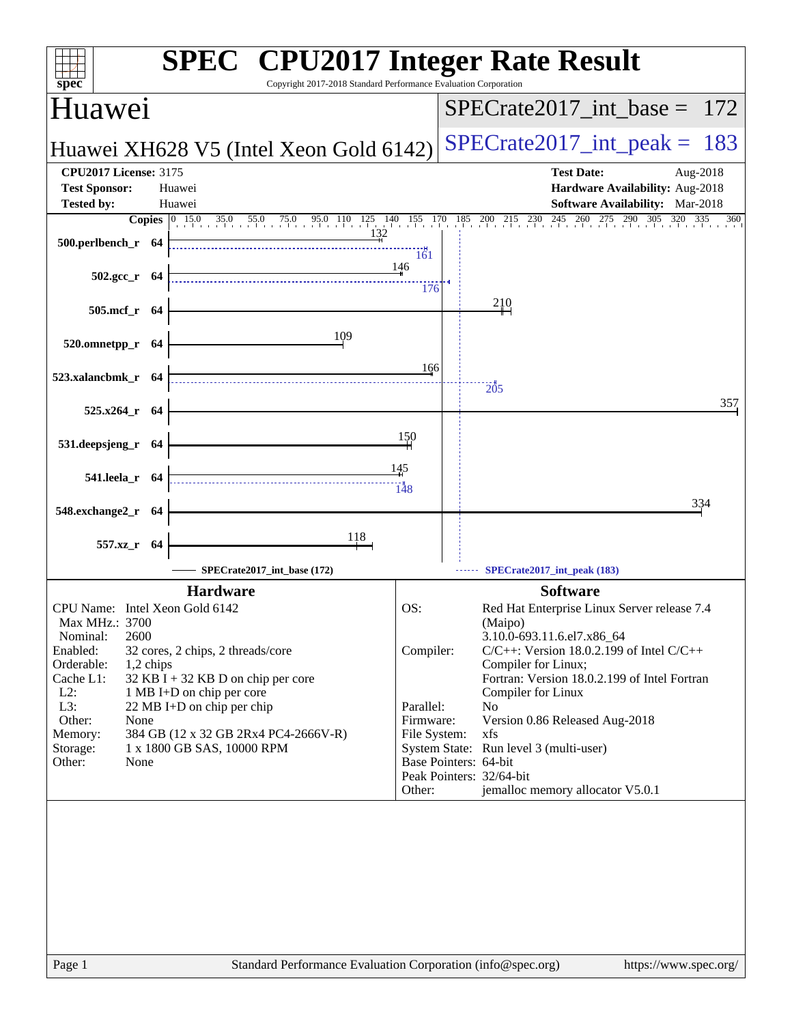| spec <sup>®</sup>                  | <b>SPEC<sup>®</sup> CPU2017 Integer Rate Result</b><br>Copyright 2017-2018 Standard Performance Evaluation Corporation |              |                                                                                                                                                         |
|------------------------------------|------------------------------------------------------------------------------------------------------------------------|--------------|---------------------------------------------------------------------------------------------------------------------------------------------------------|
| Huawei                             |                                                                                                                        |              | $SPECTate2017\_int\_base = 172$                                                                                                                         |
|                                    | Huawei XH628 V5 (Intel Xeon Gold 6142)                                                                                 |              | $SPECTate2017$ _int_peak = 183                                                                                                                          |
| <b>CPU2017 License: 3175</b>       |                                                                                                                        |              | <b>Test Date:</b><br>Aug-2018                                                                                                                           |
| <b>Test Sponsor:</b>               | Huawei                                                                                                                 |              | Hardware Availability: Aug-2018                                                                                                                         |
| <b>Tested by:</b>                  | Huawei                                                                                                                 |              | <b>Software Availability:</b> Mar-2018<br>Copies 0 15.0 35.0 55.0 75.0 95.0 110 125 140 155 170 185 200 215 230 245 260 275 290 305 320 3<br>335<br>360 |
| 500.perlbench_r 64                 | 132                                                                                                                    | 161          |                                                                                                                                                         |
| $502.\text{gcc r}$ 64              |                                                                                                                        | 146<br>176   |                                                                                                                                                         |
| 505.mcf_r 64                       |                                                                                                                        |              | 210                                                                                                                                                     |
| 520.omnetpp_r 64                   | 109                                                                                                                    |              |                                                                                                                                                         |
| 523.xalancbmk_r 64                 |                                                                                                                        | 166          |                                                                                                                                                         |
|                                    |                                                                                                                        |              | 205<br>357                                                                                                                                              |
| 525.x264_r 64                      |                                                                                                                        |              |                                                                                                                                                         |
| 531.deepsjeng_r 64                 |                                                                                                                        | 150          |                                                                                                                                                         |
| 541.leela_r 64                     | $\begin{array}{c}\n \\ \hline\n148\n\end{array}$                                                                       | 145          |                                                                                                                                                         |
| 548.exchange2_r 64                 |                                                                                                                        |              | 334                                                                                                                                                     |
| 557.xz_r 64                        | <u>118</u>                                                                                                             |              |                                                                                                                                                         |
|                                    | SPECrate2017_int_base (172)                                                                                            |              | SPECrate2017_int_peak (183)                                                                                                                             |
|                                    | <b>Hardware</b>                                                                                                        |              | <b>Software</b>                                                                                                                                         |
| CPU Name: Intel Xeon Gold 6142     |                                                                                                                        | OS:          | Red Hat Enterprise Linux Server release 7.4                                                                                                             |
| Max MHz.: 3700<br>2600<br>Nominal: |                                                                                                                        |              | (Maipo)<br>3.10.0-693.11.6.el7.x86_64                                                                                                                   |
| Enabled:                           | 32 cores, 2 chips, 2 threads/core                                                                                      | Compiler:    | $C/C++$ : Version 18.0.2.199 of Intel $C/C++$                                                                                                           |
| Orderable:<br>1,2 chips            |                                                                                                                        |              | Compiler for Linux;                                                                                                                                     |
| Cache L1:<br>$L2$ :                | 32 KB I + 32 KB D on chip per core<br>1 MB I+D on chip per core                                                        |              | Fortran: Version 18.0.2.199 of Intel Fortran                                                                                                            |
| L3:                                | 22 MB I+D on chip per chip                                                                                             | Parallel:    | Compiler for Linux<br>No                                                                                                                                |
| Other:<br>None                     |                                                                                                                        | Firmware:    | Version 0.86 Released Aug-2018                                                                                                                          |
| Memory:                            | 384 GB (12 x 32 GB 2Rx4 PC4-2666V-R)<br>1 x 1800 GB SAS, 10000 RPM                                                     | File System: | xfs<br>System State: Run level 3 (multi-user)                                                                                                           |
| Storage:<br>Other:<br>None         |                                                                                                                        |              | Base Pointers: 64-bit                                                                                                                                   |
|                                    |                                                                                                                        |              | Peak Pointers: 32/64-bit                                                                                                                                |
|                                    |                                                                                                                        | Other:       | jemalloc memory allocator V5.0.1                                                                                                                        |
|                                    |                                                                                                                        |              |                                                                                                                                                         |
|                                    |                                                                                                                        |              |                                                                                                                                                         |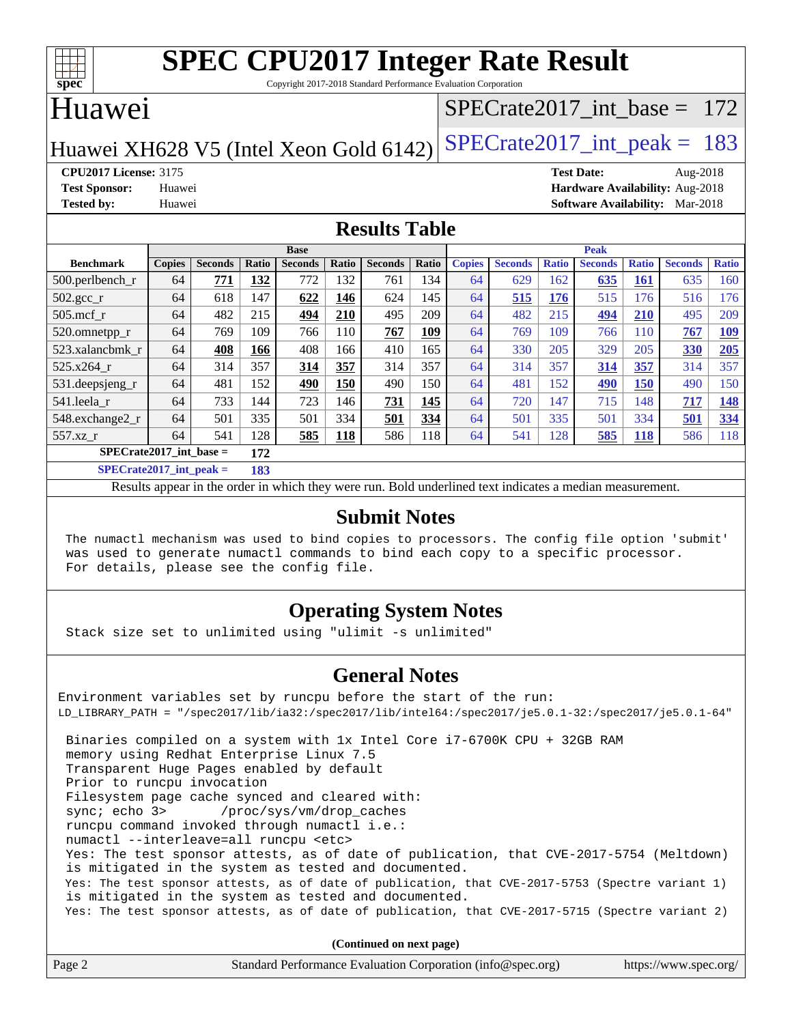

Copyright 2017-2018 Standard Performance Evaluation Corporation

## Huawei

### [SPECrate2017\\_int\\_base =](http://www.spec.org/auto/cpu2017/Docs/result-fields.html#SPECrate2017intbase) 172

Huawei XH628 V5 (Intel Xeon Gold  $6142$ ) [SPECrate2017\\_int\\_peak =](http://www.spec.org/auto/cpu2017/Docs/result-fields.html#SPECrate2017intpeak) 183

**[CPU2017 License:](http://www.spec.org/auto/cpu2017/Docs/result-fields.html#CPU2017License)** 3175 **[Test Date:](http://www.spec.org/auto/cpu2017/Docs/result-fields.html#TestDate)** Aug-2018 **[Test Sponsor:](http://www.spec.org/auto/cpu2017/Docs/result-fields.html#TestSponsor)** Huawei **[Hardware Availability:](http://www.spec.org/auto/cpu2017/Docs/result-fields.html#HardwareAvailability)** Aug-2018 **[Tested by:](http://www.spec.org/auto/cpu2017/Docs/result-fields.html#Testedby)** Huawei **[Software Availability:](http://www.spec.org/auto/cpu2017/Docs/result-fields.html#SoftwareAvailability)** Mar-2018

### **[Results Table](http://www.spec.org/auto/cpu2017/Docs/result-fields.html#ResultsTable)**

|                                    | <b>Base</b>   |                |       |                |              | <b>Peak</b>    |       |               |                |              |                |              |                |              |
|------------------------------------|---------------|----------------|-------|----------------|--------------|----------------|-------|---------------|----------------|--------------|----------------|--------------|----------------|--------------|
| <b>Benchmark</b>                   | <b>Copies</b> | <b>Seconds</b> | Ratio | <b>Seconds</b> | <b>Ratio</b> | <b>Seconds</b> | Ratio | <b>Copies</b> | <b>Seconds</b> | <b>Ratio</b> | <b>Seconds</b> | <b>Ratio</b> | <b>Seconds</b> | <b>Ratio</b> |
| $500.$ perlbench_r                 | 64            | 771            | 132   | 772            | 132          | 761            | 134   | 64            | 629            | 162          | 635            | 161          | 635            | 160          |
| 502.gcc_r                          | 64            | 618            | 147   | 622            | 146          | 624            | 145   | 64            | 515            | 176          | 515            | 176          | 516            | 176          |
| $505$ .mcf r                       | 64            | 482            | 215   | 494            | 210          | 495            | 209   | 64            | 482            | 215          | 494            | 210          | 495            | 209          |
| 520.omnetpp_r                      | 64            | 769            | 109   | 766            | 110          | 767            | 109   | 64            | 769            | 109          | 766            | 110          | 767            | <u>109</u>   |
| 523.xalancbmk_r                    | 64            | 408            | 166   | 408            | 166          | 410            | 165   | 64            | 330            | 205          | 329            | 205          | 330            | 205          |
| 525.x264 r                         | 64            | 314            | 357   | 314            | 357          | 314            | 357   | 64            | 314            | 357          | 314            | 357          | 314            | 357          |
| 531.deepsjeng_r                    | 64            | 481            | 152   | 490            | <b>150</b>   | 490            | 150   | 64            | 481            | 152          | <u>490</u>     | <b>150</b>   | 490            | 150          |
| 541.leela r                        | 64            | 733            | 144   | 723            | 146          | 731            | 145   | 64            | 720            | 147          | 715            | 148          | 717            | 148          |
| 548.exchange2_r                    | 64            | 501            | 335   | 501            | 334          | 501            | 334   | 64            | 501            | 335          | 501            | 334          | 501            | 334          |
| 557.xz r                           | 64            | 541            | 128   | 585            | <b>118</b>   | 586            | 118   | 64            | 541            | 128          | 585            | <b>118</b>   | 586            | 118          |
| $SPECrate2017\_int\_base =$<br>172 |               |                |       |                |              |                |       |               |                |              |                |              |                |              |
| $CDDC_{11}$ $4.2017$ $1.4$ $1.1$   |               |                | 102   |                |              |                |       |               |                |              |                |              |                |              |

**[SPECrate2017\\_int\\_peak =](http://www.spec.org/auto/cpu2017/Docs/result-fields.html#SPECrate2017intpeak) 183**

Results appear in the [order in which they were run](http://www.spec.org/auto/cpu2017/Docs/result-fields.html#RunOrder). Bold underlined text [indicates a median measurement](http://www.spec.org/auto/cpu2017/Docs/result-fields.html#Median).

### **[Submit Notes](http://www.spec.org/auto/cpu2017/Docs/result-fields.html#SubmitNotes)**

 The numactl mechanism was used to bind copies to processors. The config file option 'submit' was used to generate numactl commands to bind each copy to a specific processor. For details, please see the config file.

### **[Operating System Notes](http://www.spec.org/auto/cpu2017/Docs/result-fields.html#OperatingSystemNotes)**

Stack size set to unlimited using "ulimit -s unlimited"

### **[General Notes](http://www.spec.org/auto/cpu2017/Docs/result-fields.html#GeneralNotes)**

Environment variables set by runcpu before the start of the run: LD\_LIBRARY\_PATH = "/spec2017/lib/ia32:/spec2017/lib/intel64:/spec2017/je5.0.1-32:/spec2017/je5.0.1-64" Binaries compiled on a system with 1x Intel Core i7-6700K CPU + 32GB RAM memory using Redhat Enterprise Linux 7.5 Transparent Huge Pages enabled by default Prior to runcpu invocation Filesystem page cache synced and cleared with: sync; echo 3> /proc/sys/vm/drop\_caches runcpu command invoked through numactl i.e.: numactl --interleave=all runcpu <etc> Yes: The test sponsor attests, as of date of publication, that CVE-2017-5754 (Meltdown) is mitigated in the system as tested and documented. Yes: The test sponsor attests, as of date of publication, that CVE-2017-5753 (Spectre variant 1) is mitigated in the system as tested and documented. Yes: The test sponsor attests, as of date of publication, that CVE-2017-5715 (Spectre variant 2)

**(Continued on next page)**

| Page 2 | Standard Performance Evaluation Corporation (info@spec.org) | https://www.spec.org/ |
|--------|-------------------------------------------------------------|-----------------------|
|--------|-------------------------------------------------------------|-----------------------|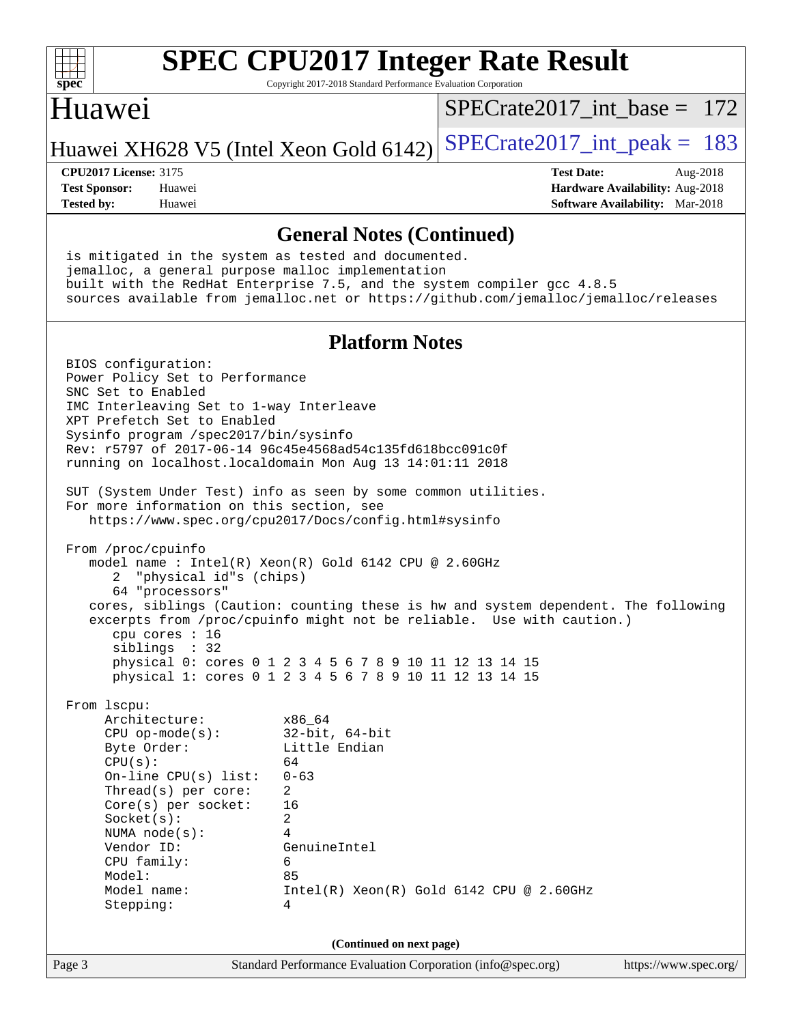

Copyright 2017-2018 Standard Performance Evaluation Corporation

### Huawei

[SPECrate2017\\_int\\_base =](http://www.spec.org/auto/cpu2017/Docs/result-fields.html#SPECrate2017intbase) 172

Huawei XH628 V5 (Intel Xeon Gold 6142) SPECrate  $2017$  int peak = 183

**[Tested by:](http://www.spec.org/auto/cpu2017/Docs/result-fields.html#Testedby)** Huawei **[Software Availability:](http://www.spec.org/auto/cpu2017/Docs/result-fields.html#SoftwareAvailability)** Mar-2018

**[CPU2017 License:](http://www.spec.org/auto/cpu2017/Docs/result-fields.html#CPU2017License)** 3175 **[Test Date:](http://www.spec.org/auto/cpu2017/Docs/result-fields.html#TestDate)** Aug-2018 **[Test Sponsor:](http://www.spec.org/auto/cpu2017/Docs/result-fields.html#TestSponsor)** Huawei **[Hardware Availability:](http://www.spec.org/auto/cpu2017/Docs/result-fields.html#HardwareAvailability)** Aug-2018

### **[General Notes \(Continued\)](http://www.spec.org/auto/cpu2017/Docs/result-fields.html#GeneralNotes)**

 is mitigated in the system as tested and documented. jemalloc, a general purpose malloc implementation built with the RedHat Enterprise 7.5, and the system compiler gcc 4.8.5 sources available from jemalloc.net or <https://github.com/jemalloc/jemalloc/releases>

### **[Platform Notes](http://www.spec.org/auto/cpu2017/Docs/result-fields.html#PlatformNotes)**

 BIOS configuration: Power Policy Set to Performance SNC Set to Enabled IMC Interleaving Set to 1-way Interleave XPT Prefetch Set to Enabled Sysinfo program /spec2017/bin/sysinfo Rev: r5797 of 2017-06-14 96c45e4568ad54c135fd618bcc091c0f running on localhost.localdomain Mon Aug 13 14:01:11 2018 SUT (System Under Test) info as seen by some common utilities. For more information on this section, see <https://www.spec.org/cpu2017/Docs/config.html#sysinfo> From /proc/cpuinfo model name : Intel(R) Xeon(R) Gold 6142 CPU @ 2.60GHz 2 "physical id"s (chips) 64 "processors" cores, siblings (Caution: counting these is hw and system dependent. The following excerpts from /proc/cpuinfo might not be reliable. Use with caution.) cpu cores : 16 siblings : 32 physical 0: cores 0 1 2 3 4 5 6 7 8 9 10 11 12 13 14 15 physical 1: cores 0 1 2 3 4 5 6 7 8 9 10 11 12 13 14 15 From lscpu: Architecture: x86\_64 CPU op-mode(s): 32-bit, 64-bit<br>Byte Order: Little Endian Little Endian  $CPU(s):$  64 On-line CPU(s) list: 0-63 Thread(s) per core: 2 Core(s) per socket: 16 Socket(s): 2 NUMA node(s): 4 Vendor ID: GenuineIntel CPU family: 6 Model: 85 Model name: Intel(R) Xeon(R) Gold 6142 CPU @ 2.60GHz Stepping: 4 **(Continued on next page)**

Page 3 Standard Performance Evaluation Corporation [\(info@spec.org\)](mailto:info@spec.org) <https://www.spec.org/>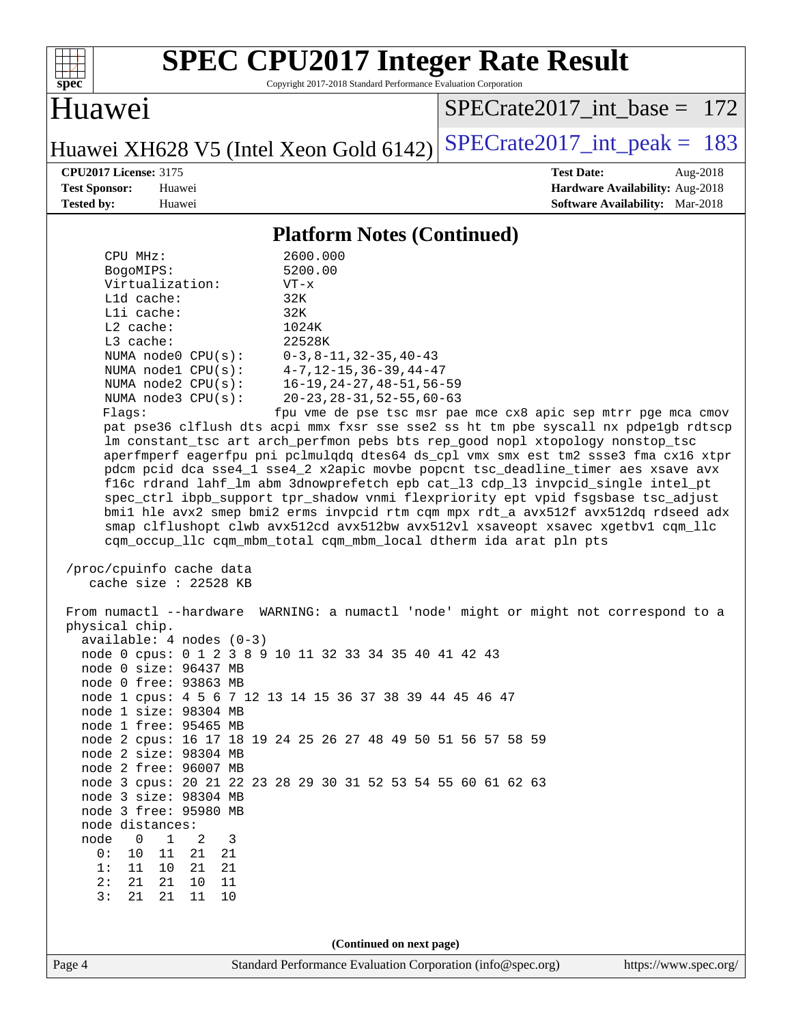| ę,<br>эe<br>č |  |  |  |  |  |
|---------------|--|--|--|--|--|

Copyright 2017-2018 Standard Performance Evaluation Corporation

## Huawei

[SPECrate2017\\_int\\_base =](http://www.spec.org/auto/cpu2017/Docs/result-fields.html#SPECrate2017intbase) 172

Huawei XH628 V5 (Intel Xeon Gold 6142) SPECrate  $2017$ \_int\_peak = 183

**[CPU2017 License:](http://www.spec.org/auto/cpu2017/Docs/result-fields.html#CPU2017License)** 3175 **[Test Date:](http://www.spec.org/auto/cpu2017/Docs/result-fields.html#TestDate)** Aug-2018 **[Test Sponsor:](http://www.spec.org/auto/cpu2017/Docs/result-fields.html#TestSponsor)** Huawei **[Hardware Availability:](http://www.spec.org/auto/cpu2017/Docs/result-fields.html#HardwareAvailability)** Aug-2018 **[Tested by:](http://www.spec.org/auto/cpu2017/Docs/result-fields.html#Testedby)** Huawei **[Software Availability:](http://www.spec.org/auto/cpu2017/Docs/result-fields.html#SoftwareAvailability)** Mar-2018

### **[Platform Notes \(Continued\)](http://www.spec.org/auto/cpu2017/Docs/result-fields.html#PlatformNotes)**

| 3:<br>21<br>21<br>$10$<br>11                                                                                                                                                                                                                                                                                                                                                                                                                                                                                                                                                                                                                                                                                                                                                                                                                                                                                                                                                                 |                                                                                      |  |  |  |  |  |
|----------------------------------------------------------------------------------------------------------------------------------------------------------------------------------------------------------------------------------------------------------------------------------------------------------------------------------------------------------------------------------------------------------------------------------------------------------------------------------------------------------------------------------------------------------------------------------------------------------------------------------------------------------------------------------------------------------------------------------------------------------------------------------------------------------------------------------------------------------------------------------------------------------------------------------------------------------------------------------------------|--------------------------------------------------------------------------------------|--|--|--|--|--|
| 1:<br>10<br>21<br>11<br>21<br>2:<br>21<br>21<br>11<br>10                                                                                                                                                                                                                                                                                                                                                                                                                                                                                                                                                                                                                                                                                                                                                                                                                                                                                                                                     |                                                                                      |  |  |  |  |  |
| 0:<br>10<br>11<br>21<br>21                                                                                                                                                                                                                                                                                                                                                                                                                                                                                                                                                                                                                                                                                                                                                                                                                                                                                                                                                                   |                                                                                      |  |  |  |  |  |
| 3<br>node<br>0<br>1<br>2                                                                                                                                                                                                                                                                                                                                                                                                                                                                                                                                                                                                                                                                                                                                                                                                                                                                                                                                                                     |                                                                                      |  |  |  |  |  |
| node distances:                                                                                                                                                                                                                                                                                                                                                                                                                                                                                                                                                                                                                                                                                                                                                                                                                                                                                                                                                                              |                                                                                      |  |  |  |  |  |
| node 3 free: 95980 MB                                                                                                                                                                                                                                                                                                                                                                                                                                                                                                                                                                                                                                                                                                                                                                                                                                                                                                                                                                        |                                                                                      |  |  |  |  |  |
| node 3 size: 98304 MB                                                                                                                                                                                                                                                                                                                                                                                                                                                                                                                                                                                                                                                                                                                                                                                                                                                                                                                                                                        |                                                                                      |  |  |  |  |  |
| node 2 free: 96007 MB                                                                                                                                                                                                                                                                                                                                                                                                                                                                                                                                                                                                                                                                                                                                                                                                                                                                                                                                                                        | node 3 cpus: 20 21 22 23 28 29 30 31 52 53 54 55 60 61 62 63                         |  |  |  |  |  |
| node 2 size: 98304 MB                                                                                                                                                                                                                                                                                                                                                                                                                                                                                                                                                                                                                                                                                                                                                                                                                                                                                                                                                                        |                                                                                      |  |  |  |  |  |
|                                                                                                                                                                                                                                                                                                                                                                                                                                                                                                                                                                                                                                                                                                                                                                                                                                                                                                                                                                                              | node 2 cpus: 16 17 18 19 24 25 26 27 48 49 50 51 56 57 58 59                         |  |  |  |  |  |
| node 1 free: 95465 MB                                                                                                                                                                                                                                                                                                                                                                                                                                                                                                                                                                                                                                                                                                                                                                                                                                                                                                                                                                        |                                                                                      |  |  |  |  |  |
| node 1 size: 98304 MB                                                                                                                                                                                                                                                                                                                                                                                                                                                                                                                                                                                                                                                                                                                                                                                                                                                                                                                                                                        |                                                                                      |  |  |  |  |  |
| node 0 free: 93863 MB<br>node 1 cpus: 4 5 6 7 12 13 14 15 36 37 38 39 44 45 46 47                                                                                                                                                                                                                                                                                                                                                                                                                                                                                                                                                                                                                                                                                                                                                                                                                                                                                                            |                                                                                      |  |  |  |  |  |
| node 0 size: 96437 MB                                                                                                                                                                                                                                                                                                                                                                                                                                                                                                                                                                                                                                                                                                                                                                                                                                                                                                                                                                        |                                                                                      |  |  |  |  |  |
| node 0 cpus: 0 1 2 3 8 9 10 11 32 33 34 35 40 41 42 43                                                                                                                                                                                                                                                                                                                                                                                                                                                                                                                                                                                                                                                                                                                                                                                                                                                                                                                                       |                                                                                      |  |  |  |  |  |
| $available: 4 nodes (0-3)$                                                                                                                                                                                                                                                                                                                                                                                                                                                                                                                                                                                                                                                                                                                                                                                                                                                                                                                                                                   |                                                                                      |  |  |  |  |  |
| physical chip.                                                                                                                                                                                                                                                                                                                                                                                                                                                                                                                                                                                                                                                                                                                                                                                                                                                                                                                                                                               |                                                                                      |  |  |  |  |  |
|                                                                                                                                                                                                                                                                                                                                                                                                                                                                                                                                                                                                                                                                                                                                                                                                                                                                                                                                                                                              | From numactl --hardware WARNING: a numactl 'node' might or might not correspond to a |  |  |  |  |  |
| cache size : 22528 KB                                                                                                                                                                                                                                                                                                                                                                                                                                                                                                                                                                                                                                                                                                                                                                                                                                                                                                                                                                        |                                                                                      |  |  |  |  |  |
| /proc/cpuinfo cache data                                                                                                                                                                                                                                                                                                                                                                                                                                                                                                                                                                                                                                                                                                                                                                                                                                                                                                                                                                     |                                                                                      |  |  |  |  |  |
| L3 cache:<br>22528K<br>NUMA node0 CPU(s): $0-3, 8-11, 32-35, 40-43$<br>NUMA node1 CPU(s): 4-7,12-15,36-39,44-47<br>NUMA node2 CPU(s): 16-19,24-27,48-51,56-59<br>NUMA node3 CPU(s): 20-23, 28-31, 52-55, 60-63<br>fpu vme de pse tsc msr pae mce cx8 apic sep mtrr pge mca cmov<br>Flaqs:<br>pat pse36 clflush dts acpi mmx fxsr sse sse2 ss ht tm pbe syscall nx pdpelgb rdtscp<br>lm constant_tsc art arch_perfmon pebs bts rep_good nopl xtopology nonstop_tsc<br>aperfmperf eagerfpu pni pclmulqdq dtes64 ds_cpl vmx smx est tm2 ssse3 fma cx16 xtpr<br>pdcm pcid dca sse4_1 sse4_2 x2apic movbe popcnt tsc_deadline_timer aes xsave avx<br>f16c rdrand lahf_lm abm 3dnowprefetch epb cat_13 cdp_13 invpcid_single intel_pt<br>spec_ctrl ibpb_support tpr_shadow vnmi flexpriority ept vpid fsgsbase tsc_adjust<br>bmil hle avx2 smep bmi2 erms invpcid rtm cqm mpx rdt_a avx512f avx512dq rdseed adx<br>smap clflushopt clwb avx512cd avx512bw avx512vl xsaveopt xsavec xgetbvl cqm_llc |                                                                                      |  |  |  |  |  |
| $L2$ cache:                                                                                                                                                                                                                                                                                                                                                                                                                                                                                                                                                                                                                                                                                                                                                                                                                                                                                                                                                                                  | 1024K                                                                                |  |  |  |  |  |
| Lli cache:                                                                                                                                                                                                                                                                                                                                                                                                                                                                                                                                                                                                                                                                                                                                                                                                                                                                                                                                                                                   | 32K                                                                                  |  |  |  |  |  |
| L1d cache:                                                                                                                                                                                                                                                                                                                                                                                                                                                                                                                                                                                                                                                                                                                                                                                                                                                                                                                                                                                   | 32K                                                                                  |  |  |  |  |  |
| Virtualization:                                                                                                                                                                                                                                                                                                                                                                                                                                                                                                                                                                                                                                                                                                                                                                                                                                                                                                                                                                              | $VT - x$                                                                             |  |  |  |  |  |
| CPU MHz:<br>BogoMIPS:                                                                                                                                                                                                                                                                                                                                                                                                                                                                                                                                                                                                                                                                                                                                                                                                                                                                                                                                                                        | 2600.000<br>5200.00                                                                  |  |  |  |  |  |
|                                                                                                                                                                                                                                                                                                                                                                                                                                                                                                                                                                                                                                                                                                                                                                                                                                                                                                                                                                                              |                                                                                      |  |  |  |  |  |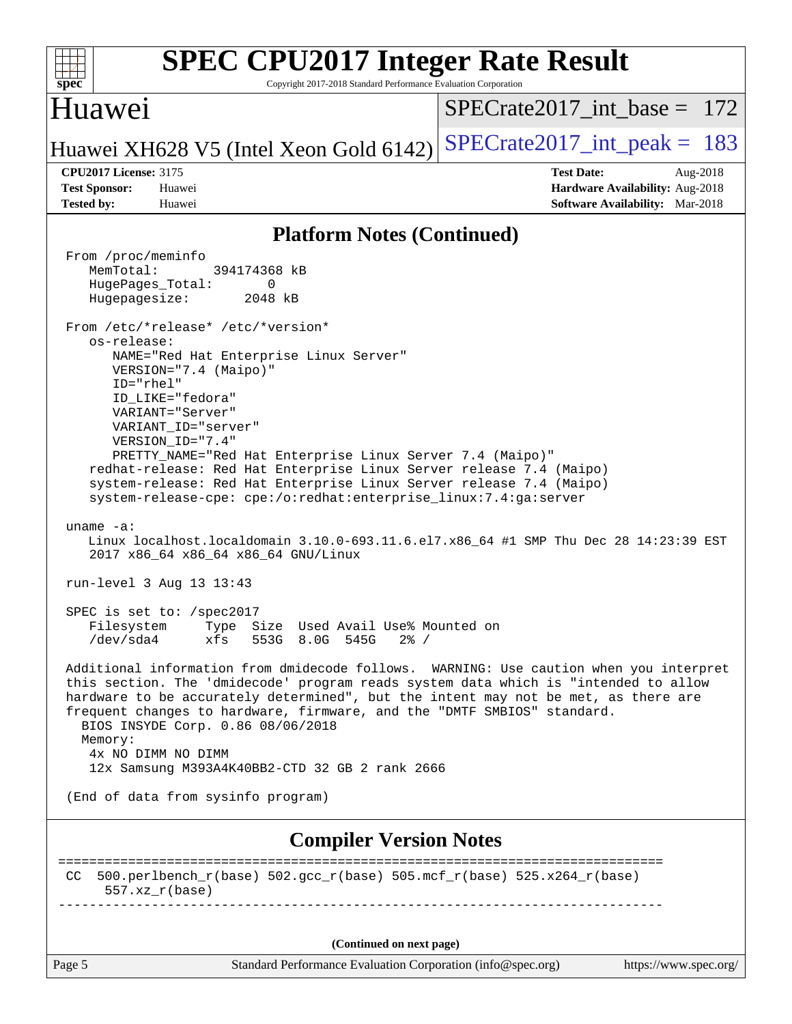| <b>SPEC CPU2017 Integer Rate Result</b><br>Copyright 2017-2018 Standard Performance Evaluation Corporation<br>$spec^*$                                                                                                                                                                                                                                                                                                                                                                                                                                                                                                                                                                                                                                                                                                                                                                                                                                                                                                                                                                                                                                                                                                                                                                                                                                                                                                                                                                                                                                                                             |                                                                                                            |
|----------------------------------------------------------------------------------------------------------------------------------------------------------------------------------------------------------------------------------------------------------------------------------------------------------------------------------------------------------------------------------------------------------------------------------------------------------------------------------------------------------------------------------------------------------------------------------------------------------------------------------------------------------------------------------------------------------------------------------------------------------------------------------------------------------------------------------------------------------------------------------------------------------------------------------------------------------------------------------------------------------------------------------------------------------------------------------------------------------------------------------------------------------------------------------------------------------------------------------------------------------------------------------------------------------------------------------------------------------------------------------------------------------------------------------------------------------------------------------------------------------------------------------------------------------------------------------------------------|------------------------------------------------------------------------------------------------------------|
| Huawei                                                                                                                                                                                                                                                                                                                                                                                                                                                                                                                                                                                                                                                                                                                                                                                                                                                                                                                                                                                                                                                                                                                                                                                                                                                                                                                                                                                                                                                                                                                                                                                             | $SPECrate2017$ int base = 172                                                                              |
| Huawei XH628 V5 (Intel Xeon Gold 6142)                                                                                                                                                                                                                                                                                                                                                                                                                                                                                                                                                                                                                                                                                                                                                                                                                                                                                                                                                                                                                                                                                                                                                                                                                                                                                                                                                                                                                                                                                                                                                             | $SPECrate2017\_int\_peak = 183$                                                                            |
| <b>CPU2017 License: 3175</b><br><b>Test Sponsor:</b><br>Huawei<br><b>Tested by:</b><br>Huawei                                                                                                                                                                                                                                                                                                                                                                                                                                                                                                                                                                                                                                                                                                                                                                                                                                                                                                                                                                                                                                                                                                                                                                                                                                                                                                                                                                                                                                                                                                      | <b>Test Date:</b><br>Aug-2018<br>Hardware Availability: Aug-2018<br><b>Software Availability:</b> Mar-2018 |
| <b>Platform Notes (Continued)</b>                                                                                                                                                                                                                                                                                                                                                                                                                                                                                                                                                                                                                                                                                                                                                                                                                                                                                                                                                                                                                                                                                                                                                                                                                                                                                                                                                                                                                                                                                                                                                                  |                                                                                                            |
| From /proc/meminfo<br>MemTotal:<br>394174368 kB<br>HugePages_Total:<br>0<br>Hugepagesize:<br>2048 kB<br>From /etc/*release* /etc/*version*<br>os-release:<br>NAME="Red Hat Enterprise Linux Server"<br>VERSION="7.4 (Maipo)"<br>ID="rhel"<br>ID_LIKE="fedora"<br>VARIANT="Server"<br>VARIANT_ID="server"<br>VERSION_ID="7.4"<br>PRETTY_NAME="Red Hat Enterprise Linux Server 7.4 (Maipo)"<br>redhat-release: Red Hat Enterprise Linux Server release 7.4 (Maipo)<br>system-release: Red Hat Enterprise Linux Server release 7.4 (Maipo)<br>system-release-cpe: cpe:/o:redhat:enterprise_linux:7.4:ga:server<br>uname $-a$ :<br>Linux localhost.localdomain 3.10.0-693.11.6.el7.x86_64 #1 SMP Thu Dec 28 14:23:39 EST<br>2017 x86_64 x86_64 x86_64 GNU/Linux<br>run-level 3 Aug 13 13:43<br>SPEC is set to: /spec2017<br>Type Size Used Avail Use% Mounted on<br>Filesystem<br>553G 8.0G 545G<br>/dev/sda4<br>xfs<br>$2\frac{8}{1}$ /<br>Additional information from dmidecode follows. WARNING: Use caution when you interpret<br>this section. The 'dmidecode' program reads system data which is "intended to allow<br>hardware to be accurately determined", but the intent may not be met, as there are<br>frequent changes to hardware, firmware, and the "DMTF SMBIOS" standard.<br>BIOS INSYDE Corp. 0.86 08/06/2018<br>Memory:<br>4x NO DIMM NO DIMM<br>12x Samsung M393A4K40BB2-CTD 32 GB 2 rank 2666<br>(End of data from sysinfo program)<br><b>Compiler Version Notes</b><br>$500. perlbench_r(base) 502. gcc_r(base) 505. mcf_r(base) 525. x264_r(base)$<br>CC.<br>$557.xx$ $r(base)$ |                                                                                                            |
|                                                                                                                                                                                                                                                                                                                                                                                                                                                                                                                                                                                                                                                                                                                                                                                                                                                                                                                                                                                                                                                                                                                                                                                                                                                                                                                                                                                                                                                                                                                                                                                                    |                                                                                                            |
| (Continued on next page)<br>Page 5                                                                                                                                                                                                                                                                                                                                                                                                                                                                                                                                                                                                                                                                                                                                                                                                                                                                                                                                                                                                                                                                                                                                                                                                                                                                                                                                                                                                                                                                                                                                                                 | https://www.spec.org/                                                                                      |
| Standard Performance Evaluation Corporation (info@spec.org)                                                                                                                                                                                                                                                                                                                                                                                                                                                                                                                                                                                                                                                                                                                                                                                                                                                                                                                                                                                                                                                                                                                                                                                                                                                                                                                                                                                                                                                                                                                                        |                                                                                                            |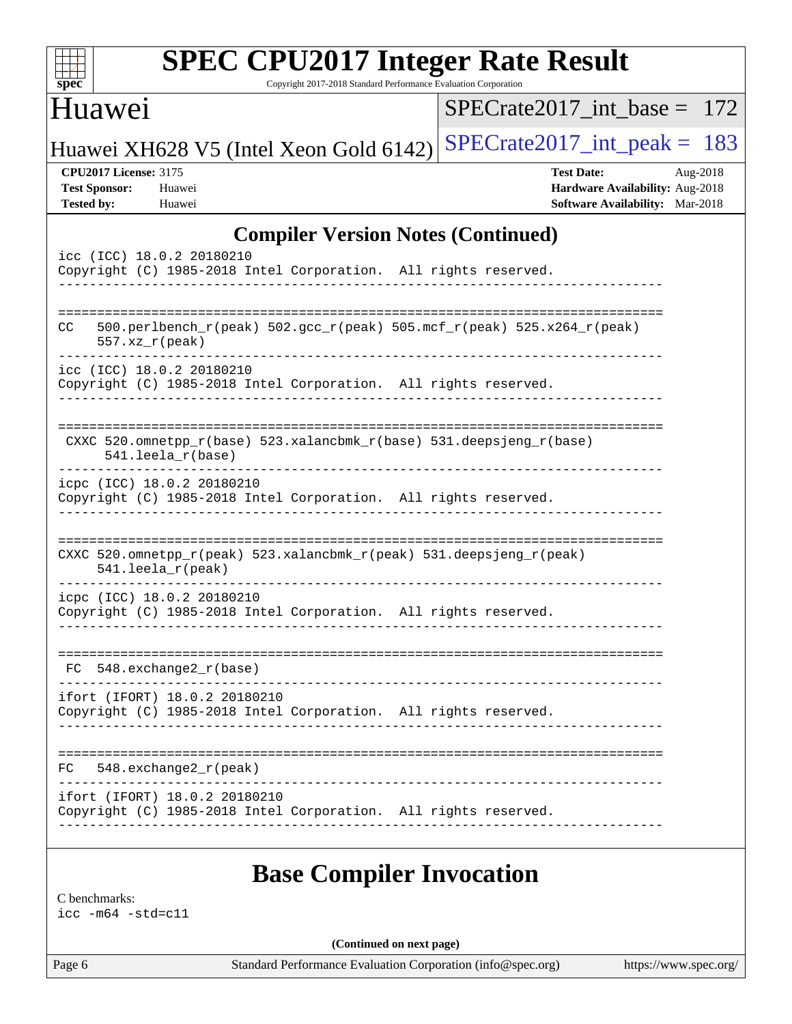| $spec^*$                                                                  | <b>SPEC CPU2017 Integer Rate Result</b><br>Copyright 2017-2018 Standard Performance Evaluation Corporation |                                                                                                     |
|---------------------------------------------------------------------------|------------------------------------------------------------------------------------------------------------|-----------------------------------------------------------------------------------------------------|
| Huawei                                                                    |                                                                                                            | $SPECrate2017$ int base = 172                                                                       |
|                                                                           | Huawei XH628 V5 (Intel Xeon Gold 6142)                                                                     | $SPECrate2017\_int\_peak = 183$                                                                     |
| <b>CPU2017 License: 3175</b><br><b>Test Sponsor:</b><br><b>Tested by:</b> | Huawei<br>Huawei                                                                                           | <b>Test Date:</b><br>Aug-2018<br>Hardware Availability: Aug-2018<br>Software Availability: Mar-2018 |
|                                                                           | <b>Compiler Version Notes (Continued)</b>                                                                  |                                                                                                     |
|                                                                           | icc (ICC) 18.0.2 20180210<br>Copyright (C) 1985-2018 Intel Corporation. All rights reserved.               |                                                                                                     |
| CC.<br>$557. xz_r (peak)$                                                 | 500.perlbench_r(peak) 502.gcc_r(peak) 505.mcf_r(peak) 525.x264_r(peak)                                     |                                                                                                     |
|                                                                           | icc (ICC) 18.0.2 20180210<br>Copyright (C) 1985-2018 Intel Corporation. All rights reserved.               |                                                                                                     |
|                                                                           | CXXC 520.omnetpp_r(base) 523.xalancbmk_r(base) 531.deepsjeng_r(base)<br>541.leela_r(base)                  |                                                                                                     |
|                                                                           | icpc (ICC) 18.0.2 20180210<br>Copyright (C) 1985-2018 Intel Corporation. All rights reserved.              |                                                                                                     |
|                                                                           | CXXC 520.omnetpp_r(peak) 523.xalancbmk_r(peak) 531.deepsjeng_r(peak)<br>$541.$ leela_r(peak)               |                                                                                                     |
|                                                                           | icpc (ICC) 18.0.2 20180210<br>Copyright (C) 1985-2018 Intel Corporation. All rights reserved.              |                                                                                                     |
| FC.                                                                       | 548.exchange2_r(base)                                                                                      |                                                                                                     |
|                                                                           | ifort (IFORT) 18.0.2 20180210<br>Copyright (C) 1985-2018 Intel Corporation. All rights reserved.           |                                                                                                     |
|                                                                           | $FC$ 548. exchange 2 $r$ (peak)                                                                            |                                                                                                     |
|                                                                           | ifort (IFORT) 18.0.2 20180210<br>Copyright (C) 1985-2018 Intel Corporation. All rights reserved.           |                                                                                                     |
|                                                                           | <b>Base Compiler Invocation</b>                                                                            |                                                                                                     |
| C benchmarks:                                                             |                                                                                                            |                                                                                                     |

[icc -m64 -std=c11](http://www.spec.org/cpu2017/results/res2018q4/cpu2017-20181025-09288.flags.html#user_CCbase_intel_icc_64bit_c11_33ee0cdaae7deeeab2a9725423ba97205ce30f63b9926c2519791662299b76a0318f32ddfffdc46587804de3178b4f9328c46fa7c2b0cd779d7a61945c91cd35)

**(Continued on next page)**

Page 6 Standard Performance Evaluation Corporation [\(info@spec.org\)](mailto:info@spec.org) <https://www.spec.org/>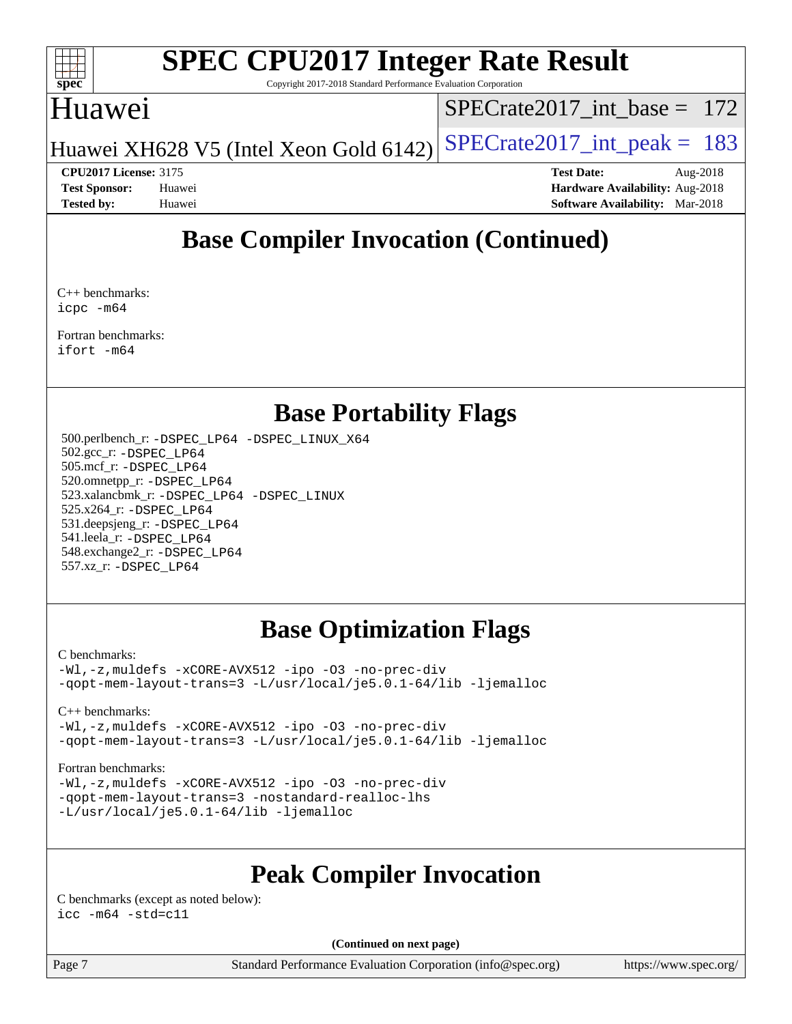

Copyright 2017-2018 Standard Performance Evaluation Corporation

## Huawei

[SPECrate2017\\_int\\_base =](http://www.spec.org/auto/cpu2017/Docs/result-fields.html#SPECrate2017intbase) 172

Huawei XH628 V5 (Intel Xeon Gold 6142) SPECrate  $2017$  int peak = 183

**[CPU2017 License:](http://www.spec.org/auto/cpu2017/Docs/result-fields.html#CPU2017License)** 3175 **[Test Date:](http://www.spec.org/auto/cpu2017/Docs/result-fields.html#TestDate)** Aug-2018 **[Test Sponsor:](http://www.spec.org/auto/cpu2017/Docs/result-fields.html#TestSponsor)** Huawei **[Hardware Availability:](http://www.spec.org/auto/cpu2017/Docs/result-fields.html#HardwareAvailability)** Aug-2018 **[Tested by:](http://www.spec.org/auto/cpu2017/Docs/result-fields.html#Testedby)** Huawei **[Software Availability:](http://www.spec.org/auto/cpu2017/Docs/result-fields.html#SoftwareAvailability)** Mar-2018

## **[Base Compiler Invocation \(Continued\)](http://www.spec.org/auto/cpu2017/Docs/result-fields.html#BaseCompilerInvocation)**

[C++ benchmarks](http://www.spec.org/auto/cpu2017/Docs/result-fields.html#CXXbenchmarks): [icpc -m64](http://www.spec.org/cpu2017/results/res2018q4/cpu2017-20181025-09288.flags.html#user_CXXbase_intel_icpc_64bit_4ecb2543ae3f1412ef961e0650ca070fec7b7afdcd6ed48761b84423119d1bf6bdf5cad15b44d48e7256388bc77273b966e5eb805aefd121eb22e9299b2ec9d9)

[Fortran benchmarks](http://www.spec.org/auto/cpu2017/Docs/result-fields.html#Fortranbenchmarks): [ifort -m64](http://www.spec.org/cpu2017/results/res2018q4/cpu2017-20181025-09288.flags.html#user_FCbase_intel_ifort_64bit_24f2bb282fbaeffd6157abe4f878425411749daecae9a33200eee2bee2fe76f3b89351d69a8130dd5949958ce389cf37ff59a95e7a40d588e8d3a57e0c3fd751)

## **[Base Portability Flags](http://www.spec.org/auto/cpu2017/Docs/result-fields.html#BasePortabilityFlags)**

 500.perlbench\_r: [-DSPEC\\_LP64](http://www.spec.org/cpu2017/results/res2018q4/cpu2017-20181025-09288.flags.html#b500.perlbench_r_basePORTABILITY_DSPEC_LP64) [-DSPEC\\_LINUX\\_X64](http://www.spec.org/cpu2017/results/res2018q4/cpu2017-20181025-09288.flags.html#b500.perlbench_r_baseCPORTABILITY_DSPEC_LINUX_X64) 502.gcc\_r: [-DSPEC\\_LP64](http://www.spec.org/cpu2017/results/res2018q4/cpu2017-20181025-09288.flags.html#suite_basePORTABILITY502_gcc_r_DSPEC_LP64) 505.mcf\_r: [-DSPEC\\_LP64](http://www.spec.org/cpu2017/results/res2018q4/cpu2017-20181025-09288.flags.html#suite_basePORTABILITY505_mcf_r_DSPEC_LP64) 520.omnetpp\_r: [-DSPEC\\_LP64](http://www.spec.org/cpu2017/results/res2018q4/cpu2017-20181025-09288.flags.html#suite_basePORTABILITY520_omnetpp_r_DSPEC_LP64) 523.xalancbmk\_r: [-DSPEC\\_LP64](http://www.spec.org/cpu2017/results/res2018q4/cpu2017-20181025-09288.flags.html#suite_basePORTABILITY523_xalancbmk_r_DSPEC_LP64) [-DSPEC\\_LINUX](http://www.spec.org/cpu2017/results/res2018q4/cpu2017-20181025-09288.flags.html#b523.xalancbmk_r_baseCXXPORTABILITY_DSPEC_LINUX) 525.x264\_r: [-DSPEC\\_LP64](http://www.spec.org/cpu2017/results/res2018q4/cpu2017-20181025-09288.flags.html#suite_basePORTABILITY525_x264_r_DSPEC_LP64) 531.deepsjeng\_r: [-DSPEC\\_LP64](http://www.spec.org/cpu2017/results/res2018q4/cpu2017-20181025-09288.flags.html#suite_basePORTABILITY531_deepsjeng_r_DSPEC_LP64) 541.leela\_r: [-DSPEC\\_LP64](http://www.spec.org/cpu2017/results/res2018q4/cpu2017-20181025-09288.flags.html#suite_basePORTABILITY541_leela_r_DSPEC_LP64) 548.exchange2\_r: [-DSPEC\\_LP64](http://www.spec.org/cpu2017/results/res2018q4/cpu2017-20181025-09288.flags.html#suite_basePORTABILITY548_exchange2_r_DSPEC_LP64) 557.xz\_r: [-DSPEC\\_LP64](http://www.spec.org/cpu2017/results/res2018q4/cpu2017-20181025-09288.flags.html#suite_basePORTABILITY557_xz_r_DSPEC_LP64)

## **[Base Optimization Flags](http://www.spec.org/auto/cpu2017/Docs/result-fields.html#BaseOptimizationFlags)**

### [C benchmarks](http://www.spec.org/auto/cpu2017/Docs/result-fields.html#Cbenchmarks):

[-Wl,-z,muldefs](http://www.spec.org/cpu2017/results/res2018q4/cpu2017-20181025-09288.flags.html#user_CCbase_link_force_multiple1_b4cbdb97b34bdee9ceefcfe54f4c8ea74255f0b02a4b23e853cdb0e18eb4525ac79b5a88067c842dd0ee6996c24547a27a4b99331201badda8798ef8a743f577) [-xCORE-AVX512](http://www.spec.org/cpu2017/results/res2018q4/cpu2017-20181025-09288.flags.html#user_CCbase_f-xCORE-AVX512) [-ipo](http://www.spec.org/cpu2017/results/res2018q4/cpu2017-20181025-09288.flags.html#user_CCbase_f-ipo) [-O3](http://www.spec.org/cpu2017/results/res2018q4/cpu2017-20181025-09288.flags.html#user_CCbase_f-O3) [-no-prec-div](http://www.spec.org/cpu2017/results/res2018q4/cpu2017-20181025-09288.flags.html#user_CCbase_f-no-prec-div) [-qopt-mem-layout-trans=3](http://www.spec.org/cpu2017/results/res2018q4/cpu2017-20181025-09288.flags.html#user_CCbase_f-qopt-mem-layout-trans_de80db37974c74b1f0e20d883f0b675c88c3b01e9d123adea9b28688d64333345fb62bc4a798493513fdb68f60282f9a726aa07f478b2f7113531aecce732043) [-L/usr/local/je5.0.1-64/lib](http://www.spec.org/cpu2017/results/res2018q4/cpu2017-20181025-09288.flags.html#user_CCbase_jemalloc_link_path64_4b10a636b7bce113509b17f3bd0d6226c5fb2346b9178c2d0232c14f04ab830f976640479e5c33dc2bcbbdad86ecfb6634cbbd4418746f06f368b512fced5394) [-ljemalloc](http://www.spec.org/cpu2017/results/res2018q4/cpu2017-20181025-09288.flags.html#user_CCbase_jemalloc_link_lib_d1249b907c500fa1c0672f44f562e3d0f79738ae9e3c4a9c376d49f265a04b9c99b167ecedbf6711b3085be911c67ff61f150a17b3472be731631ba4d0471706)

### [C++ benchmarks:](http://www.spec.org/auto/cpu2017/Docs/result-fields.html#CXXbenchmarks)

[-Wl,-z,muldefs](http://www.spec.org/cpu2017/results/res2018q4/cpu2017-20181025-09288.flags.html#user_CXXbase_link_force_multiple1_b4cbdb97b34bdee9ceefcfe54f4c8ea74255f0b02a4b23e853cdb0e18eb4525ac79b5a88067c842dd0ee6996c24547a27a4b99331201badda8798ef8a743f577) [-xCORE-AVX512](http://www.spec.org/cpu2017/results/res2018q4/cpu2017-20181025-09288.flags.html#user_CXXbase_f-xCORE-AVX512) [-ipo](http://www.spec.org/cpu2017/results/res2018q4/cpu2017-20181025-09288.flags.html#user_CXXbase_f-ipo) [-O3](http://www.spec.org/cpu2017/results/res2018q4/cpu2017-20181025-09288.flags.html#user_CXXbase_f-O3) [-no-prec-div](http://www.spec.org/cpu2017/results/res2018q4/cpu2017-20181025-09288.flags.html#user_CXXbase_f-no-prec-div) [-qopt-mem-layout-trans=3](http://www.spec.org/cpu2017/results/res2018q4/cpu2017-20181025-09288.flags.html#user_CXXbase_f-qopt-mem-layout-trans_de80db37974c74b1f0e20d883f0b675c88c3b01e9d123adea9b28688d64333345fb62bc4a798493513fdb68f60282f9a726aa07f478b2f7113531aecce732043) [-L/usr/local/je5.0.1-64/lib](http://www.spec.org/cpu2017/results/res2018q4/cpu2017-20181025-09288.flags.html#user_CXXbase_jemalloc_link_path64_4b10a636b7bce113509b17f3bd0d6226c5fb2346b9178c2d0232c14f04ab830f976640479e5c33dc2bcbbdad86ecfb6634cbbd4418746f06f368b512fced5394) [-ljemalloc](http://www.spec.org/cpu2017/results/res2018q4/cpu2017-20181025-09288.flags.html#user_CXXbase_jemalloc_link_lib_d1249b907c500fa1c0672f44f562e3d0f79738ae9e3c4a9c376d49f265a04b9c99b167ecedbf6711b3085be911c67ff61f150a17b3472be731631ba4d0471706)

### [Fortran benchmarks](http://www.spec.org/auto/cpu2017/Docs/result-fields.html#Fortranbenchmarks):

[-Wl,-z,muldefs](http://www.spec.org/cpu2017/results/res2018q4/cpu2017-20181025-09288.flags.html#user_FCbase_link_force_multiple1_b4cbdb97b34bdee9ceefcfe54f4c8ea74255f0b02a4b23e853cdb0e18eb4525ac79b5a88067c842dd0ee6996c24547a27a4b99331201badda8798ef8a743f577) [-xCORE-AVX512](http://www.spec.org/cpu2017/results/res2018q4/cpu2017-20181025-09288.flags.html#user_FCbase_f-xCORE-AVX512) [-ipo](http://www.spec.org/cpu2017/results/res2018q4/cpu2017-20181025-09288.flags.html#user_FCbase_f-ipo) [-O3](http://www.spec.org/cpu2017/results/res2018q4/cpu2017-20181025-09288.flags.html#user_FCbase_f-O3) [-no-prec-div](http://www.spec.org/cpu2017/results/res2018q4/cpu2017-20181025-09288.flags.html#user_FCbase_f-no-prec-div) [-qopt-mem-layout-trans=3](http://www.spec.org/cpu2017/results/res2018q4/cpu2017-20181025-09288.flags.html#user_FCbase_f-qopt-mem-layout-trans_de80db37974c74b1f0e20d883f0b675c88c3b01e9d123adea9b28688d64333345fb62bc4a798493513fdb68f60282f9a726aa07f478b2f7113531aecce732043) [-nostandard-realloc-lhs](http://www.spec.org/cpu2017/results/res2018q4/cpu2017-20181025-09288.flags.html#user_FCbase_f_2003_std_realloc_82b4557e90729c0f113870c07e44d33d6f5a304b4f63d4c15d2d0f1fab99f5daaed73bdb9275d9ae411527f28b936061aa8b9c8f2d63842963b95c9dd6426b8a) [-L/usr/local/je5.0.1-64/lib](http://www.spec.org/cpu2017/results/res2018q4/cpu2017-20181025-09288.flags.html#user_FCbase_jemalloc_link_path64_4b10a636b7bce113509b17f3bd0d6226c5fb2346b9178c2d0232c14f04ab830f976640479e5c33dc2bcbbdad86ecfb6634cbbd4418746f06f368b512fced5394) [-ljemalloc](http://www.spec.org/cpu2017/results/res2018q4/cpu2017-20181025-09288.flags.html#user_FCbase_jemalloc_link_lib_d1249b907c500fa1c0672f44f562e3d0f79738ae9e3c4a9c376d49f265a04b9c99b167ecedbf6711b3085be911c67ff61f150a17b3472be731631ba4d0471706)

## **[Peak Compiler Invocation](http://www.spec.org/auto/cpu2017/Docs/result-fields.html#PeakCompilerInvocation)**

[C benchmarks \(except as noted below\)](http://www.spec.org/auto/cpu2017/Docs/result-fields.html#Cbenchmarksexceptasnotedbelow):  $\text{icc}$   $-\text{m64}$   $-\text{std}=c11$ 

**(Continued on next page)**

Page 7 Standard Performance Evaluation Corporation [\(info@spec.org\)](mailto:info@spec.org) <https://www.spec.org/>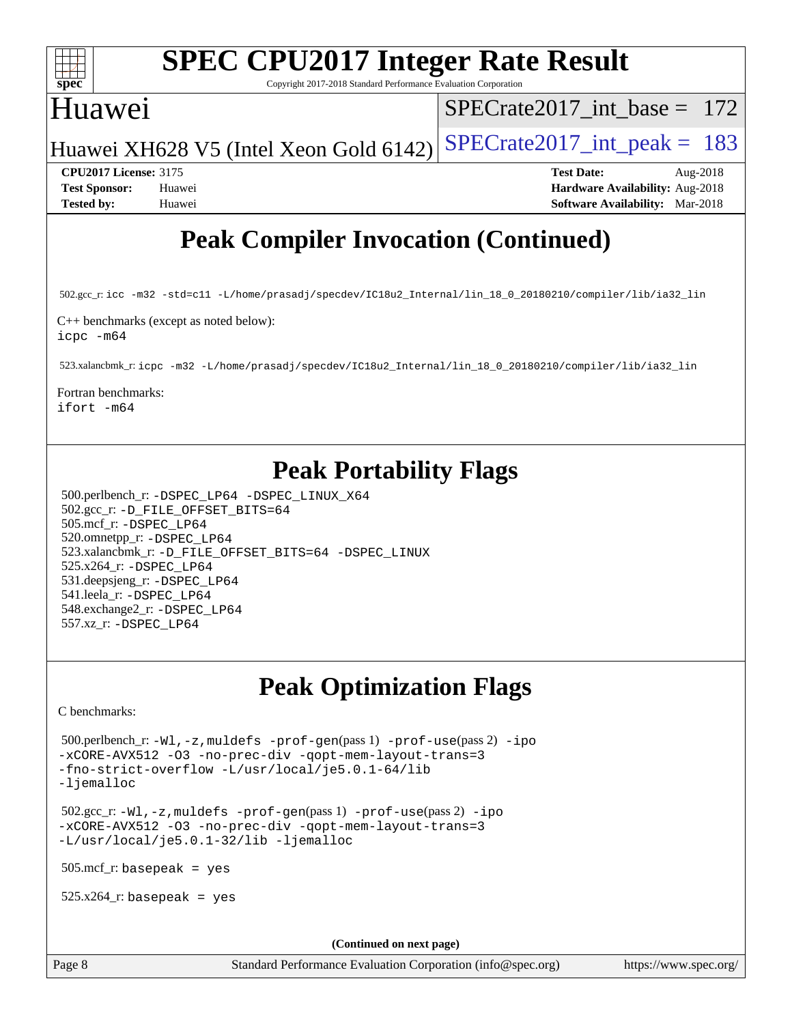

Copyright 2017-2018 Standard Performance Evaluation Corporation

## Huawei

[SPECrate2017\\_int\\_base =](http://www.spec.org/auto/cpu2017/Docs/result-fields.html#SPECrate2017intbase) 172

Huawei XH628 V5 (Intel Xeon Gold 6142) SPECrate  $2017$  int peak = 183

**[CPU2017 License:](http://www.spec.org/auto/cpu2017/Docs/result-fields.html#CPU2017License)** 3175 **[Test Date:](http://www.spec.org/auto/cpu2017/Docs/result-fields.html#TestDate)** Aug-2018 **[Test Sponsor:](http://www.spec.org/auto/cpu2017/Docs/result-fields.html#TestSponsor)** Huawei **[Hardware Availability:](http://www.spec.org/auto/cpu2017/Docs/result-fields.html#HardwareAvailability)** Aug-2018 **[Tested by:](http://www.spec.org/auto/cpu2017/Docs/result-fields.html#Testedby)** Huawei **[Software Availability:](http://www.spec.org/auto/cpu2017/Docs/result-fields.html#SoftwareAvailability)** Mar-2018

## **[Peak Compiler Invocation \(Continued\)](http://www.spec.org/auto/cpu2017/Docs/result-fields.html#PeakCompilerInvocation)**

502.gcc\_r: [icc -m32 -std=c11 -L/home/prasadj/specdev/IC18u2\\_Internal/lin\\_18\\_0\\_20180210/compiler/lib/ia32\\_lin](http://www.spec.org/cpu2017/results/res2018q4/cpu2017-20181025-09288.flags.html#user_peakCCLD502_gcc_r_intel_icc_a481ac844e7127046fad14d498c730a1848fa901fbbb2c3dfdd5e9fbbac777c8009953946d55d8b6afe8ed0da70dd2b4f8dedbdf7ab1ee211ba70d24a5d89f85)

[C++ benchmarks \(except as noted below\)](http://www.spec.org/auto/cpu2017/Docs/result-fields.html#CXXbenchmarksexceptasnotedbelow): [icpc -m64](http://www.spec.org/cpu2017/results/res2018q4/cpu2017-20181025-09288.flags.html#user_CXXpeak_intel_icpc_64bit_4ecb2543ae3f1412ef961e0650ca070fec7b7afdcd6ed48761b84423119d1bf6bdf5cad15b44d48e7256388bc77273b966e5eb805aefd121eb22e9299b2ec9d9)

523.xalancbmk\_r: [icpc -m32 -L/home/prasadj/specdev/IC18u2\\_Internal/lin\\_18\\_0\\_20180210/compiler/lib/ia32\\_lin](http://www.spec.org/cpu2017/results/res2018q4/cpu2017-20181025-09288.flags.html#user_peakCXXLD523_xalancbmk_r_intel_icpc_c6d030cd79af6ea7d6fb64c57e8fe7ae8fe0b96fc5a3b3f4a10e3273b3d7fa9decd8263f6330cef23f751cb093a69fae84a2bf4c243500a8eed069248128076f)

[Fortran benchmarks](http://www.spec.org/auto/cpu2017/Docs/result-fields.html#Fortranbenchmarks):

[ifort -m64](http://www.spec.org/cpu2017/results/res2018q4/cpu2017-20181025-09288.flags.html#user_FCpeak_intel_ifort_64bit_24f2bb282fbaeffd6157abe4f878425411749daecae9a33200eee2bee2fe76f3b89351d69a8130dd5949958ce389cf37ff59a95e7a40d588e8d3a57e0c3fd751)

## **[Peak Portability Flags](http://www.spec.org/auto/cpu2017/Docs/result-fields.html#PeakPortabilityFlags)**

 500.perlbench\_r: [-DSPEC\\_LP64](http://www.spec.org/cpu2017/results/res2018q4/cpu2017-20181025-09288.flags.html#b500.perlbench_r_peakPORTABILITY_DSPEC_LP64) [-DSPEC\\_LINUX\\_X64](http://www.spec.org/cpu2017/results/res2018q4/cpu2017-20181025-09288.flags.html#b500.perlbench_r_peakCPORTABILITY_DSPEC_LINUX_X64) 502.gcc\_r: [-D\\_FILE\\_OFFSET\\_BITS=64](http://www.spec.org/cpu2017/results/res2018q4/cpu2017-20181025-09288.flags.html#user_peakPORTABILITY502_gcc_r_file_offset_bits_64_5ae949a99b284ddf4e95728d47cb0843d81b2eb0e18bdfe74bbf0f61d0b064f4bda2f10ea5eb90e1dcab0e84dbc592acfc5018bc955c18609f94ddb8d550002c) 505.mcf\_r: [-DSPEC\\_LP64](http://www.spec.org/cpu2017/results/res2018q4/cpu2017-20181025-09288.flags.html#suite_peakPORTABILITY505_mcf_r_DSPEC_LP64) 520.omnetpp\_r: [-DSPEC\\_LP64](http://www.spec.org/cpu2017/results/res2018q4/cpu2017-20181025-09288.flags.html#suite_peakPORTABILITY520_omnetpp_r_DSPEC_LP64) 523.xalancbmk\_r: [-D\\_FILE\\_OFFSET\\_BITS=64](http://www.spec.org/cpu2017/results/res2018q4/cpu2017-20181025-09288.flags.html#user_peakPORTABILITY523_xalancbmk_r_file_offset_bits_64_5ae949a99b284ddf4e95728d47cb0843d81b2eb0e18bdfe74bbf0f61d0b064f4bda2f10ea5eb90e1dcab0e84dbc592acfc5018bc955c18609f94ddb8d550002c) [-DSPEC\\_LINUX](http://www.spec.org/cpu2017/results/res2018q4/cpu2017-20181025-09288.flags.html#b523.xalancbmk_r_peakCXXPORTABILITY_DSPEC_LINUX) 525.x264\_r: [-DSPEC\\_LP64](http://www.spec.org/cpu2017/results/res2018q4/cpu2017-20181025-09288.flags.html#suite_peakPORTABILITY525_x264_r_DSPEC_LP64) 531.deepsjeng\_r: [-DSPEC\\_LP64](http://www.spec.org/cpu2017/results/res2018q4/cpu2017-20181025-09288.flags.html#suite_peakPORTABILITY531_deepsjeng_r_DSPEC_LP64) 541.leela\_r: [-DSPEC\\_LP64](http://www.spec.org/cpu2017/results/res2018q4/cpu2017-20181025-09288.flags.html#suite_peakPORTABILITY541_leela_r_DSPEC_LP64) 548.exchange2\_r: [-DSPEC\\_LP64](http://www.spec.org/cpu2017/results/res2018q4/cpu2017-20181025-09288.flags.html#suite_peakPORTABILITY548_exchange2_r_DSPEC_LP64) 557.xz\_r: [-DSPEC\\_LP64](http://www.spec.org/cpu2017/results/res2018q4/cpu2017-20181025-09288.flags.html#suite_peakPORTABILITY557_xz_r_DSPEC_LP64)

## **[Peak Optimization Flags](http://www.spec.org/auto/cpu2017/Docs/result-fields.html#PeakOptimizationFlags)**

[C benchmarks](http://www.spec.org/auto/cpu2017/Docs/result-fields.html#Cbenchmarks):

 500.perlbench\_r: [-Wl,-z,muldefs](http://www.spec.org/cpu2017/results/res2018q4/cpu2017-20181025-09288.flags.html#user_peakEXTRA_LDFLAGS500_perlbench_r_link_force_multiple1_b4cbdb97b34bdee9ceefcfe54f4c8ea74255f0b02a4b23e853cdb0e18eb4525ac79b5a88067c842dd0ee6996c24547a27a4b99331201badda8798ef8a743f577) [-prof-gen](http://www.spec.org/cpu2017/results/res2018q4/cpu2017-20181025-09288.flags.html#user_peakPASS1_CFLAGSPASS1_LDFLAGS500_perlbench_r_prof_gen_5aa4926d6013ddb2a31985c654b3eb18169fc0c6952a63635c234f711e6e63dd76e94ad52365559451ec499a2cdb89e4dc58ba4c67ef54ca681ffbe1461d6b36)(pass 1) [-prof-use](http://www.spec.org/cpu2017/results/res2018q4/cpu2017-20181025-09288.flags.html#user_peakPASS2_CFLAGSPASS2_LDFLAGS500_perlbench_r_prof_use_1a21ceae95f36a2b53c25747139a6c16ca95bd9def2a207b4f0849963b97e94f5260e30a0c64f4bb623698870e679ca08317ef8150905d41bd88c6f78df73f19)(pass 2) [-ipo](http://www.spec.org/cpu2017/results/res2018q4/cpu2017-20181025-09288.flags.html#user_peakPASS1_COPTIMIZEPASS2_COPTIMIZE500_perlbench_r_f-ipo) [-xCORE-AVX512](http://www.spec.org/cpu2017/results/res2018q4/cpu2017-20181025-09288.flags.html#user_peakPASS2_COPTIMIZE500_perlbench_r_f-xCORE-AVX512) [-O3](http://www.spec.org/cpu2017/results/res2018q4/cpu2017-20181025-09288.flags.html#user_peakPASS1_COPTIMIZEPASS2_COPTIMIZE500_perlbench_r_f-O3) [-no-prec-div](http://www.spec.org/cpu2017/results/res2018q4/cpu2017-20181025-09288.flags.html#user_peakPASS1_COPTIMIZEPASS2_COPTIMIZE500_perlbench_r_f-no-prec-div) [-qopt-mem-layout-trans=3](http://www.spec.org/cpu2017/results/res2018q4/cpu2017-20181025-09288.flags.html#user_peakPASS1_COPTIMIZEPASS2_COPTIMIZE500_perlbench_r_f-qopt-mem-layout-trans_de80db37974c74b1f0e20d883f0b675c88c3b01e9d123adea9b28688d64333345fb62bc4a798493513fdb68f60282f9a726aa07f478b2f7113531aecce732043) [-fno-strict-overflow](http://www.spec.org/cpu2017/results/res2018q4/cpu2017-20181025-09288.flags.html#user_peakEXTRA_OPTIMIZE500_perlbench_r_f-fno-strict-overflow) [-L/usr/local/je5.0.1-64/lib](http://www.spec.org/cpu2017/results/res2018q4/cpu2017-20181025-09288.flags.html#user_peakEXTRA_LIBS500_perlbench_r_jemalloc_link_path64_4b10a636b7bce113509b17f3bd0d6226c5fb2346b9178c2d0232c14f04ab830f976640479e5c33dc2bcbbdad86ecfb6634cbbd4418746f06f368b512fced5394) [-ljemalloc](http://www.spec.org/cpu2017/results/res2018q4/cpu2017-20181025-09288.flags.html#user_peakEXTRA_LIBS500_perlbench_r_jemalloc_link_lib_d1249b907c500fa1c0672f44f562e3d0f79738ae9e3c4a9c376d49f265a04b9c99b167ecedbf6711b3085be911c67ff61f150a17b3472be731631ba4d0471706)

 502.gcc\_r: [-Wl,-z,muldefs](http://www.spec.org/cpu2017/results/res2018q4/cpu2017-20181025-09288.flags.html#user_peakEXTRA_LDFLAGS502_gcc_r_link_force_multiple1_b4cbdb97b34bdee9ceefcfe54f4c8ea74255f0b02a4b23e853cdb0e18eb4525ac79b5a88067c842dd0ee6996c24547a27a4b99331201badda8798ef8a743f577) [-prof-gen](http://www.spec.org/cpu2017/results/res2018q4/cpu2017-20181025-09288.flags.html#user_peakPASS1_CFLAGSPASS1_LDFLAGS502_gcc_r_prof_gen_5aa4926d6013ddb2a31985c654b3eb18169fc0c6952a63635c234f711e6e63dd76e94ad52365559451ec499a2cdb89e4dc58ba4c67ef54ca681ffbe1461d6b36)(pass 1) [-prof-use](http://www.spec.org/cpu2017/results/res2018q4/cpu2017-20181025-09288.flags.html#user_peakPASS2_CFLAGSPASS2_LDFLAGS502_gcc_r_prof_use_1a21ceae95f36a2b53c25747139a6c16ca95bd9def2a207b4f0849963b97e94f5260e30a0c64f4bb623698870e679ca08317ef8150905d41bd88c6f78df73f19)(pass 2) [-ipo](http://www.spec.org/cpu2017/results/res2018q4/cpu2017-20181025-09288.flags.html#user_peakPASS1_COPTIMIZEPASS2_COPTIMIZE502_gcc_r_f-ipo) [-xCORE-AVX512](http://www.spec.org/cpu2017/results/res2018q4/cpu2017-20181025-09288.flags.html#user_peakPASS2_COPTIMIZE502_gcc_r_f-xCORE-AVX512) [-O3](http://www.spec.org/cpu2017/results/res2018q4/cpu2017-20181025-09288.flags.html#user_peakPASS1_COPTIMIZEPASS2_COPTIMIZE502_gcc_r_f-O3) [-no-prec-div](http://www.spec.org/cpu2017/results/res2018q4/cpu2017-20181025-09288.flags.html#user_peakPASS1_COPTIMIZEPASS2_COPTIMIZE502_gcc_r_f-no-prec-div) [-qopt-mem-layout-trans=3](http://www.spec.org/cpu2017/results/res2018q4/cpu2017-20181025-09288.flags.html#user_peakPASS1_COPTIMIZEPASS2_COPTIMIZE502_gcc_r_f-qopt-mem-layout-trans_de80db37974c74b1f0e20d883f0b675c88c3b01e9d123adea9b28688d64333345fb62bc4a798493513fdb68f60282f9a726aa07f478b2f7113531aecce732043) [-L/usr/local/je5.0.1-32/lib](http://www.spec.org/cpu2017/results/res2018q4/cpu2017-20181025-09288.flags.html#user_peakEXTRA_LIBS502_gcc_r_jemalloc_link_path32_e29f22e8e6c17053bbc6a0971f5a9c01a601a06bb1a59df2084b77a2fe0a2995b64fd4256feaeea39eeba3aae142e96e2b2b0a28974019c0c0c88139a84f900a) [-ljemalloc](http://www.spec.org/cpu2017/results/res2018q4/cpu2017-20181025-09288.flags.html#user_peakEXTRA_LIBS502_gcc_r_jemalloc_link_lib_d1249b907c500fa1c0672f44f562e3d0f79738ae9e3c4a9c376d49f265a04b9c99b167ecedbf6711b3085be911c67ff61f150a17b3472be731631ba4d0471706)

505.mcf\_r: basepeak = yes

 $525.x264$ \_r: basepeak = yes

**(Continued on next page)**

Page 8 Standard Performance Evaluation Corporation [\(info@spec.org\)](mailto:info@spec.org) <https://www.spec.org/>